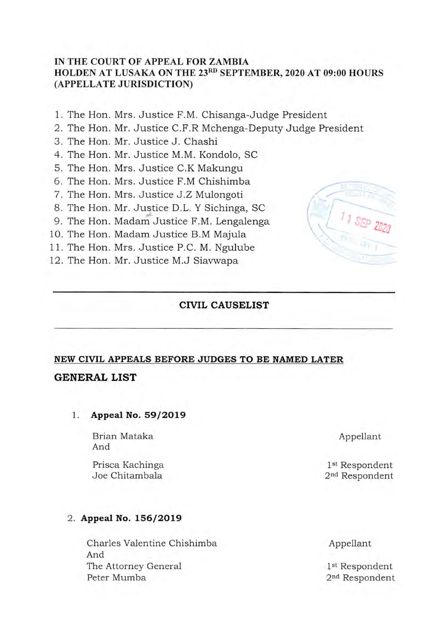#### **IN THE COURT OF APPEAL FOR ZAMBIA**  HOLDEN AT LUSAKA ON THE 23<sup>RD</sup> SEPTEMBER, 2020 AT 09:00 HOURS **(APPELLATE JURISDICTION)**

- 1. The Hon. Mrs. Justice F.M. Chisanga-Judge President
- 2. The Hon. Mr. Justice C.F.R Mchenga-Deputy Judge President
- 3. The Hon. Mr. Justice J. Chashi
- 4. The Hon. Mr. Justice M.M. Kondolo, SC
- S. The Hon. Mrs. Justice C.K Makungu
- 6. The Hon. Mrs. Justice F.M Chishimba
- 7. The Hon. Mrs. Justice J.Z Mulongoti
- 8. The Hon. Mr. Justice D.L. Y Sichinga, sc
- 9. The Hon. Madam Justice F.M. Lengalenga
- 10. The Hon, Madam Justice B.M Majula
- 11. The Hon. Mrs. Justice P.C. M. Ngulube
- 12. The Hon. Mr. Justice M.J Siavwapa

## **CIVIL CAUSELIST**

# **NEW CIVIL APPEALS BEFORE JUDGES TO BE NAMED LATER**

## **GENERAL LIST**

**1. Appeal No. 59/2019** 

Brian Mataka Appellant And

Prisca Kachinga 1st Respondent

#### **2. Appeal No. 156/2019**

Charles Valentine Chishimba Appellant And The Attorney General 1st Respondent Peter Mumba 2<sup>nd</sup> Respondent



2<sup>nd</sup> Respondent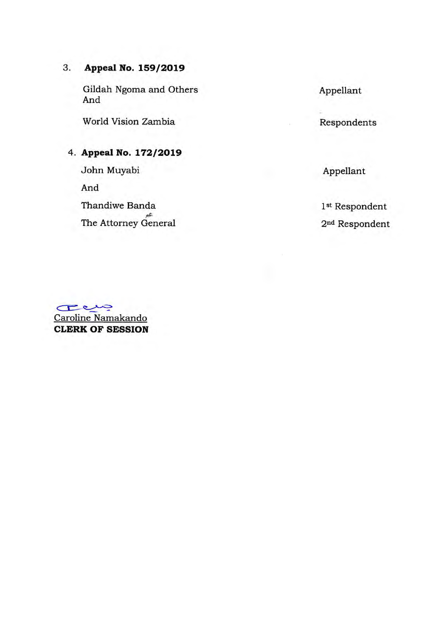# **3. Appeal No. 159/2019**

Gildah Ngoma and Others And

World Vision Zambia

# **4. Appeal No. 172/2019**

John Muyabi

And

Thandiwe Banda The Attorney General Appellant

Respondents

Appellant

 $1^{\rm st}$ Respondent 2nd Respondent

**zi**  Caroline Namakando **CLERK OF SESSION**